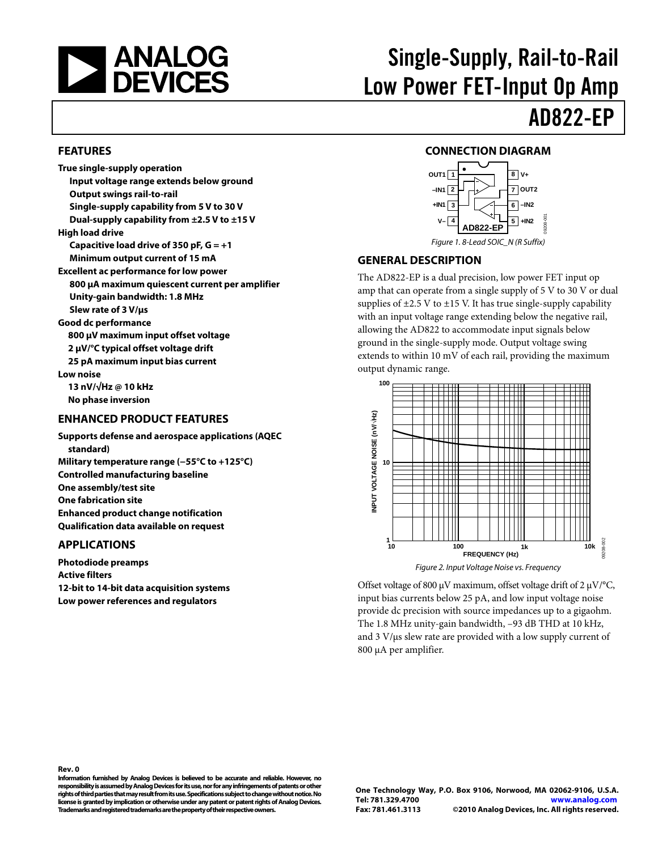<span id="page-0-0"></span>

# Single-Supply, Rail-to-Rail Low Power FET-Input Op Amp AD822-EP

#### **FEATURES**

**True single-supply operation Input voltage range extends below ground Output swings rail-to-rail Single-supply capability from 5 V to 30 V Dual-supply capability from ±2.5 V to ±15 V High load drive Capacitive load drive of 350 pF, G = +1 Minimum output current of 15 mA Excellent ac performance for low power 800 μA maximum quiescent current per amplifier Unity-gain bandwidth: 1.8 MHz Slew rate of 3 V/μs Good dc performance 800 μV maximum input offset voltage 2 μV/°C typical offset voltage drift 25 pA maximum input bias current Low noise 13 nV/√Hz @ 10 kHz No phase inversion** 

#### **ENHANCED PRODUCT FEATURES**

**Supports defense and aerospace applications (AQEC standard) Military temperature range (−55°C to +125°C) Controlled manufacturing baseline One assembly/test site One fabrication site Enhanced product change notification Qualification data available on request** 

#### **APPLICATIONS**

**Rev. 0** 

**Photodiode preamps Active filters 12-bit to 14-bit data acquisition systems Low power references and regulators** 

#### **CONNECTION DIAGRAM**



09208-001

#### **GENERAL DESCRIPTION**

The AD822-EP is a dual precision, low power FET input op amp that can operate from a single supply of 5 V to 30 V or dual supplies of  $\pm$ 2.5 V to  $\pm$ 15 V. It has true single-supply capability with an input voltage range extending below the negative rail, allowing the AD822 to accommodate input signals below ground in the single-supply mode. Output voltage swing extends to within 10 mV of each rail, providing the maximum output dynamic range.



Offset voltage of 800 μV maximum, offset voltage drift of 2 μV/°C, input bias currents below 25 pA, and low input voltage noise provide dc precision with source impedances up to a gigaohm. The 1.8 MHz unity-gain bandwidth, –93 dB THD at 10 kHz, and 3 V/μs slew rate are provided with a low supply current of 800 μA per amplifier.

Figure 1. 8-Lead SOIC\_N (R Suffix)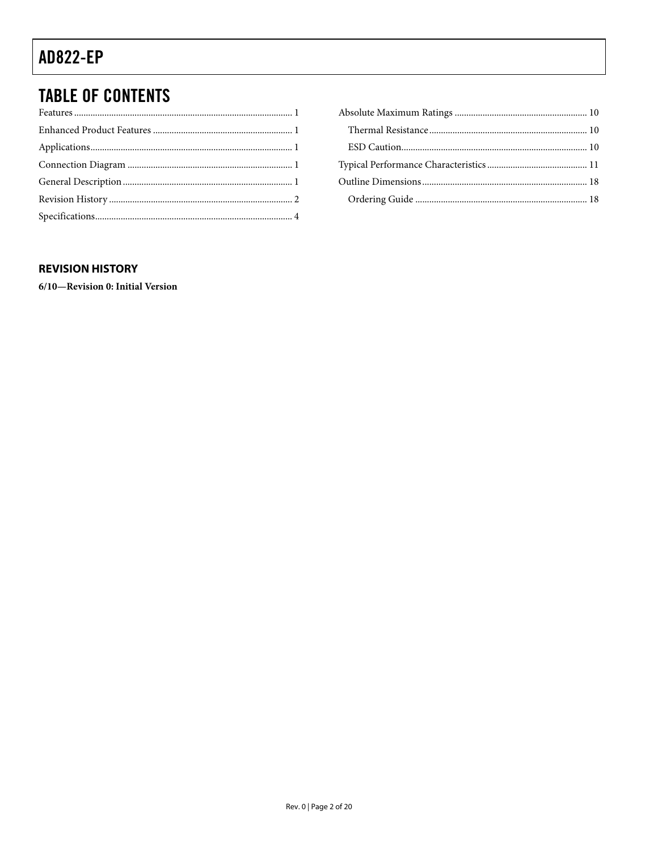## <span id="page-1-0"></span>**TABLE OF CONTENTS**

#### **REVISION HISTORY**

6/10-Revision 0: Initial Version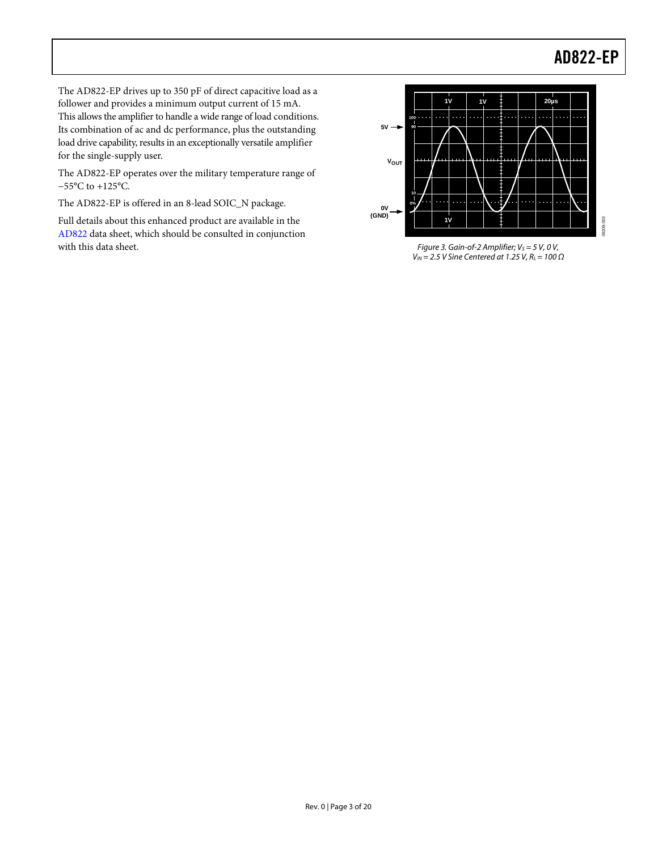09208-003

The AD822-EP drives up to 350 pF of direct capacitive load as a follower and provides a minimum output current of 15 mA. This allows the amplifier to handle a wide range of load conditions. Its combination of ac and dc performance, plus the outstanding load drive capability, results in an exceptionally versatile amplifier for the single-supply user.

The AD822-EP operates over the military temperature range of −55°C to +125°C.

The AD822-EP is offered in an 8-lead SOIC\_N package.

Full details about this enhanced product are available in the [AD822](http://www.analog.com/ad822) data sheet, which should be consulted in conjunction with this data sheet.



Figure 3. Gain-of-2 Amplifier;  $V_S = 5$  V, 0 V,  $V_{IN}$  = 2.5 V Sine Centered at 1.25 V, R<sub>L</sub> = 100  $\Omega$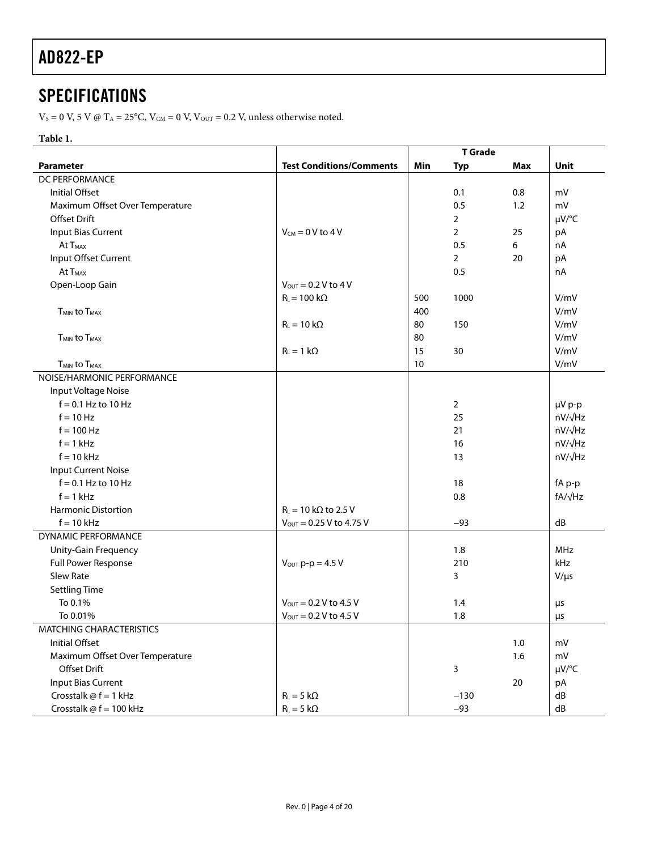## <span id="page-3-0"></span>**SPECIFICATIONS**

 $V_s = 0$  V, 5 V @ T<sub>A</sub> = 25°C, V<sub>CM</sub> = 0 V, V<sub>OUT</sub> = 0.2 V, unless otherwise noted.

#### **Table 1.**

|                                            |                                     | <b>T</b> Grade |                |            |                    |
|--------------------------------------------|-------------------------------------|----------------|----------------|------------|--------------------|
| Parameter                                  | <b>Test Conditions/Comments</b>     | Min            | <b>Typ</b>     | <b>Max</b> | <b>Unit</b>        |
| <b>DC PERFORMANCE</b>                      |                                     |                |                |            |                    |
| Initial Offset                             |                                     |                | 0.1            | 0.8        | mV                 |
| Maximum Offset Over Temperature            |                                     |                | 0.5            | 1.2        | mV                 |
| <b>Offset Drift</b>                        |                                     |                | $\overline{2}$ |            | µV/°C              |
| Input Bias Current                         | $V_{CM} = 0 V$ to 4 V               |                | $\overline{2}$ | 25         | pA                 |
| At T <sub>MAX</sub>                        |                                     |                | 0.5            | 6          | nA                 |
| Input Offset Current                       |                                     |                | $\overline{2}$ | 20         | pA                 |
| At T <sub>MAX</sub>                        |                                     |                | 0.5            |            | nA                 |
| Open-Loop Gain                             | $V_{\text{OUT}} = 0.2 V$ to 4 V     |                |                |            |                    |
|                                            | $R_L$ = 100 k $\Omega$              | 500            | 1000           |            | V/mV               |
| <b>T<sub>MIN</sub></b> to T <sub>MAX</sub> |                                     | 400            |                |            | V/mV               |
|                                            | $R_L = 10 k\Omega$                  | 80             | 150            |            | V/mV               |
| <b>TMIN to TMAX</b>                        |                                     | 80             |                |            | V/mV               |
|                                            | $R_L = 1 k\Omega$                   | 15             | 30             |            | V/mV               |
| <b>TMIN to TMAX</b>                        |                                     | 10             |                |            | V/mV               |
| NOISE/HARMONIC PERFORMANCE                 |                                     |                |                |            |                    |
| Input Voltage Noise                        |                                     |                |                |            |                    |
| $f = 0.1$ Hz to 10 Hz                      |                                     |                | $\overline{2}$ |            | µV p-p             |
| $f = 10$ Hz                                |                                     |                | 25             |            | nV/ <sub>VHz</sub> |
| $f = 100$ Hz                               |                                     |                | 21             |            | nV/ <sub>VHz</sub> |
| $f = 1$ kHz                                |                                     |                | 16             |            | nV/ <sub>VHz</sub> |
| $f = 10$ kHz                               |                                     |                | 13             |            | nV/√Hz             |
| <b>Input Current Noise</b>                 |                                     |                |                |            |                    |
| $f = 0.1$ Hz to 10 Hz                      |                                     |                | 18             |            | fA p-p             |
| $f = 1$ kHz                                |                                     |                | 0.8            |            | fA/√Hz             |
| <b>Harmonic Distortion</b>                 | $R_L$ = 10 k $\Omega$ to 2.5 V      |                |                |            |                    |
| $f = 10$ kHz                               | $V_{\text{OUT}} = 0.25 V$ to 4.75 V |                | $-93$          |            | dB                 |
| <b>DYNAMIC PERFORMANCE</b>                 |                                     |                |                |            |                    |
| Unity-Gain Frequency                       |                                     |                | 1.8            |            | <b>MHz</b>         |
| Full Power Response                        | $V_{\text{OUT}}$ p-p = 4.5 V        |                | 210            |            | kHz                |
| Slew Rate                                  |                                     |                | 3              |            | $V/\mu s$          |
| <b>Settling Time</b>                       |                                     |                |                |            |                    |
| To 0.1%                                    | $V_{\text{OUT}} = 0.2 V$ to 4.5 V   |                | 1.4            |            | μs                 |
| To 0.01%                                   | $V_{\text{OUT}} = 0.2 V$ to 4.5 V   |                | 1.8            |            | μs                 |
| <b>MATCHING CHARACTERISTICS</b>            |                                     |                |                |            |                    |
| Initial Offset                             |                                     |                |                | 1.0        | mV                 |
| Maximum Offset Over Temperature            |                                     |                |                | 1.6        | mV                 |
| Offset Drift                               |                                     |                | 3              |            | µV/°C              |
| <b>Input Bias Current</b>                  |                                     |                |                | 20         | pA                 |
| Crosstalk $@f = 1$ kHz                     | $R_L = 5 k\Omega$                   |                | $-130$         |            | dB                 |
| Crosstalk $@f = 100$ kHz                   | $R_L = 5 k\Omega$                   |                | $-93$          |            | dB                 |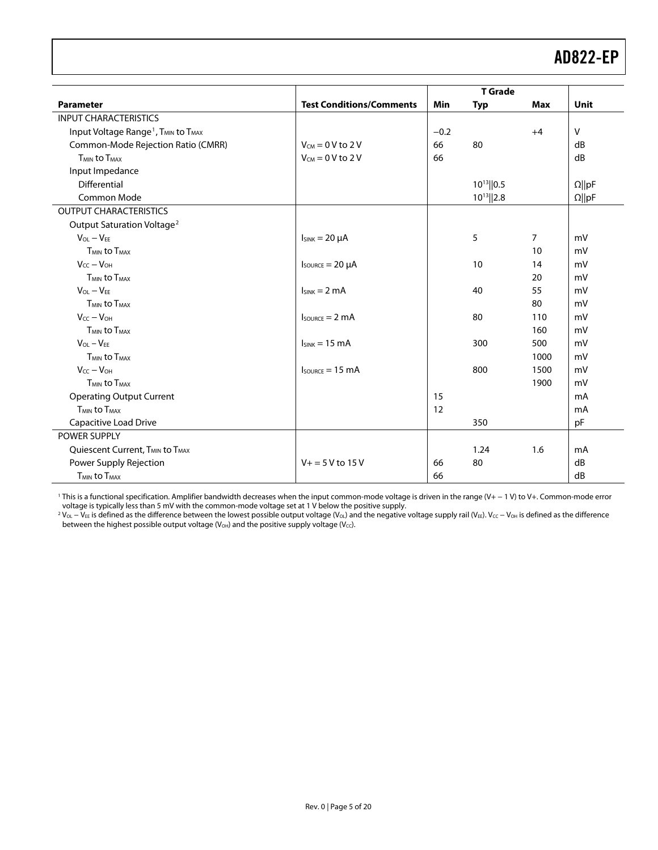| <b>T</b> Grade                                                          |                                     |        |                 |                |               |
|-------------------------------------------------------------------------|-------------------------------------|--------|-----------------|----------------|---------------|
| <b>Parameter</b>                                                        | <b>Test Conditions/Comments</b>     | Min    | <b>Typ</b>      | <b>Max</b>     | <b>Unit</b>   |
| <b>INPUT CHARACTERISTICS</b>                                            |                                     |        |                 |                |               |
| Input Voltage Range <sup>1</sup> , T <sub>MIN</sub> to T <sub>MAX</sub> |                                     | $-0.2$ |                 | $+4$           | $\vee$        |
| Common-Mode Rejection Ratio (CMRR)                                      | $V_{CM} = 0$ V to 2 V               | 66     | 80              |                | dB            |
| <b>TMIN to TMAX</b>                                                     | $V_{CM} = 0 V$ to 2 V               | 66     |                 |                | dB            |
| Input Impedance                                                         |                                     |        |                 |                |               |
| Differential                                                            |                                     |        | $10^{13}$   0.5 |                | $\Omega$   pF |
| Common Mode                                                             |                                     |        | $10^{13}$   2.8 |                | $\Omega  pF$  |
| <b>OUTPUT CHARACTERISTICS</b>                                           |                                     |        |                 |                |               |
| Output Saturation Voltage <sup>2</sup>                                  |                                     |        |                 |                |               |
| $V_{OL} - V_{EE}$                                                       | $I_{SINK} = 20 \mu A$               |        | 5               | $\overline{7}$ | mV            |
| <b>TMIN to TMAX</b>                                                     |                                     |        |                 | 10             | mV            |
| $V_{CC} - V_{OH}$                                                       | $I_{\text{SOWRCE}} = 20 \mu A$      |        | 10              | 14             | mV            |
| T <sub>MIN</sub> to T <sub>MAX</sub>                                    |                                     |        |                 | 20             | mV            |
| $V_{OL} - V_{EF}$                                                       | $I_{SINK} = 2 mA$                   |        | 40              | 55             | mV            |
| <b>TMIN to TMAX</b>                                                     |                                     |        |                 | 80             | mV            |
| $V_{CC} - V_{OH}$                                                       | $I_{\text{SOWRCE}} = 2 \text{ mA}$  |        | 80              | 110            | mV            |
| <b>TMIN to TMAX</b>                                                     |                                     |        |                 | 160            | mV            |
| $V_{OL} - V_{EE}$                                                       | $I_{SINK} = 15 \text{ mA}$          |        | 300             | 500            | mV            |
| <b>TMIN to TMAX</b>                                                     |                                     |        |                 | 1000           | mV            |
| $V_{CC} - V_{OH}$                                                       | $I_{\text{SOWRCE}} = 15 \text{ mA}$ |        | 800             | 1500           | mV            |
| <b>TMIN to TMAX</b>                                                     |                                     |        |                 | 1900           | mV            |
| <b>Operating Output Current</b>                                         |                                     | 15     |                 |                | mA            |
| <b>TMIN to TMAX</b>                                                     |                                     | 12     |                 |                | mA            |
| Capacitive Load Drive                                                   |                                     |        | 350             |                | pF            |
| POWER SUPPLY                                                            |                                     |        |                 |                |               |
| Quiescent Current, T <sub>MIN</sub> to T <sub>MAX</sub>                 |                                     |        | 1.24            | 1.6            | mA            |
| Power Supply Rejection                                                  | $V_+ = 5 V$ to 15 V                 | 66     | 80              |                | dB            |
| <b>TMIN to TMAX</b>                                                     |                                     | 66     |                 |                | dB            |

1 This is a functional specification. Amplifier bandwidth decreases when the input common-mode voltage is driven in the range (V+ − 1 V) to V+. Common-mode error

voltage is typically less than 5 mV with the common-mode voltage set at 1 V below the positive supply.<br><sup>2</sup> V<sub>oL</sub> – V<sub>EE</sub> is defined as the difference between the lowest possible output voltage (V<sub>oL</sub>) and the negative vol between the highest possible output voltage (V<sub>OH</sub>) and the positive supply voltage (V<sub>CC</sub>).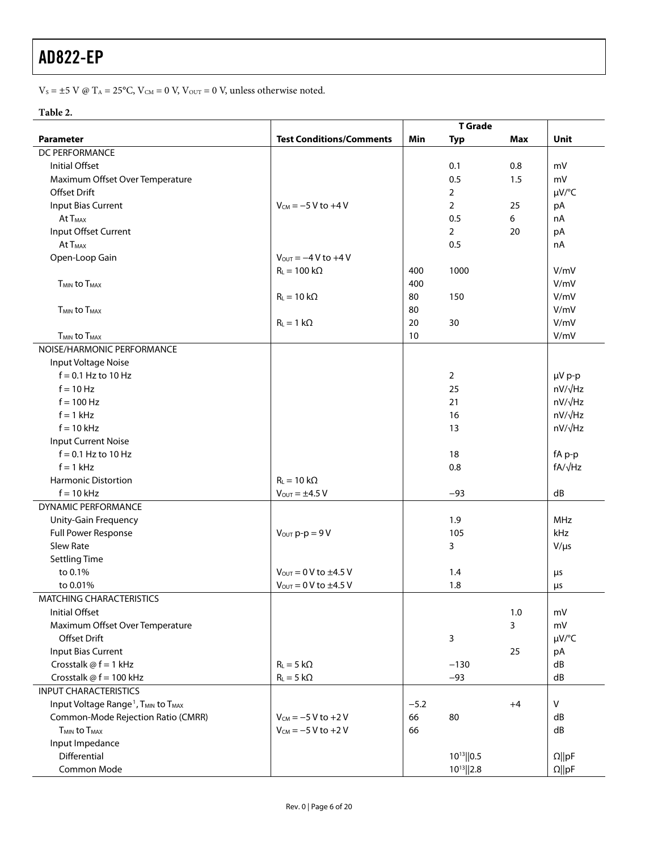V<sub>S</sub> =  $\pm$ 5 V @ T<sub>A</sub> = 25°C, V<sub>CM</sub> = 0 V, V<sub>OUT</sub> = 0 V, unless otherwise noted.

#### **Table 2.**

|                                                                         |                                       | <b>T</b> Grade |                 |            |                    |
|-------------------------------------------------------------------------|---------------------------------------|----------------|-----------------|------------|--------------------|
| <b>Parameter</b>                                                        | <b>Test Conditions/Comments</b>       | Min            | <b>Typ</b>      | <b>Max</b> | Unit               |
| DC PERFORMANCE                                                          |                                       |                |                 |            |                    |
| <b>Initial Offset</b>                                                   |                                       |                | 0.1             | 0.8        | mV                 |
| Maximum Offset Over Temperature                                         |                                       |                | 0.5             | 1.5        | mV                 |
| <b>Offset Drift</b>                                                     |                                       |                | $\overline{2}$  |            | $\mu V$ /°C        |
| Input Bias Current                                                      | $V_{CM} = -5 V$ to +4 V               |                | $\overline{2}$  | 25         | pA                 |
| At T <sub>MAX</sub>                                                     |                                       |                | 0.5             | 6          | nA                 |
| Input Offset Current                                                    |                                       |                | $\overline{2}$  | 20         | pA                 |
| At T <sub>MAX</sub>                                                     |                                       |                | 0.5             |            | nA                 |
| Open-Loop Gain                                                          | $V_{OUT} = -4 V to +4 V$              |                |                 |            |                    |
|                                                                         | $R_L = 100 k\Omega$                   | 400            | 1000            |            | V/mV               |
| T <sub>MIN</sub> to T <sub>MAX</sub>                                    |                                       | 400            |                 |            | V/mV               |
|                                                                         | $R_L = 10 k\Omega$                    | 80             | 150             |            | V/mV               |
| T <sub>MIN</sub> to T <sub>MAX</sub>                                    |                                       | 80             |                 |            | V/mV               |
|                                                                         | $R_L = 1 k\Omega$                     | 20             | 30              |            | V/mV               |
| <b>T<sub>MIN</sub></b> to T <sub>MAX</sub>                              |                                       | 10             |                 |            | V/mV               |
| NOISE/HARMONIC PERFORMANCE                                              |                                       |                |                 |            |                    |
| Input Voltage Noise                                                     |                                       |                |                 |            |                    |
| $f = 0.1$ Hz to 10 Hz                                                   |                                       |                | $\overline{2}$  |            | µV p-p             |
| $f = 10$ Hz                                                             |                                       |                | 25              |            | nV/√Hz             |
| $f = 100$ Hz                                                            |                                       |                | 21              |            | nV/√Hz             |
| $f = 1$ kHz                                                             |                                       |                | 16              |            | nV/√Hz             |
| $f = 10$ kHz                                                            |                                       |                | 13              |            | nV/ <sub>VHz</sub> |
| <b>Input Current Noise</b>                                              |                                       |                |                 |            |                    |
| $f = 0.1$ Hz to 10 Hz                                                   |                                       |                | 18              |            | fA p-p             |
| $f = 1$ kHz                                                             |                                       |                | 0.8             |            | $fA/\sqrt{Hz}$     |
| <b>Harmonic Distortion</b>                                              | $R_L = 10 k\Omega$                    |                |                 |            |                    |
| $f = 10$ kHz                                                            | $V_{OUT} = \pm 4.5 V$                 |                | $-93$           |            | dB                 |
| <b>DYNAMIC PERFORMANCE</b>                                              |                                       |                |                 |            |                    |
| Unity-Gain Frequency                                                    |                                       |                | 1.9             |            | <b>MHz</b>         |
|                                                                         |                                       |                | 105             |            | kHz                |
| Full Power Response<br>Slew Rate                                        | $V_{\text{OUT}} p-p = 9 V$            |                | 3               |            |                    |
|                                                                         |                                       |                |                 |            | $V/\mu s$          |
| <b>Settling Time</b><br>to 0.1%                                         | $V_{\text{OUT}} = 0$ V to $\pm 4.5$ V |                | 1.4             |            |                    |
|                                                                         |                                       |                |                 |            | $\mu$ s            |
| to 0.01%                                                                | $V_{\text{OUT}} = 0 V$ to $\pm 4.5 V$ |                | 1.8             |            | μs                 |
| <b>MATCHING CHARACTERISTICS</b>                                         |                                       |                |                 |            |                    |
| <b>Initial Offset</b>                                                   |                                       |                |                 | 1.0        | mV                 |
| Maximum Offset Over Temperature                                         |                                       |                |                 | 3          | mV                 |
| Offset Drift                                                            |                                       |                | 3               |            | $\mu V$ /°C        |
| <b>Input Bias Current</b>                                               |                                       |                |                 | 25         | pA                 |
| Crosstalk $@f = 1$ kHz                                                  | $R_L = 5 k\Omega$                     |                | $-130$          |            | dB                 |
| Crosstalk @ f = 100 kHz                                                 | $R_L = 5 k\Omega$                     |                | $-93$           |            | dB                 |
| <b>INPUT CHARACTERISTICS</b>                                            |                                       |                |                 |            |                    |
| Input Voltage Range <sup>1</sup> , T <sub>MIN</sub> to T <sub>MAX</sub> |                                       | $-5.2$         |                 | $+4$       | $\vee$             |
| Common-Mode Rejection Ratio (CMRR)                                      | $V_{CM} = -5 V to + 2 V$              | 66             | 80              |            | dB                 |
| <b>T<sub>MIN</sub></b> to T <sub>MAX</sub>                              | $V_{CM} = -5 V to + 2 V$              | 66             |                 |            | dB                 |
| Input Impedance                                                         |                                       |                |                 |            |                    |
| Differential                                                            |                                       |                | $10^{13}$   0.5 |            | $\Omega$   pF      |
| Common Mode                                                             |                                       |                | $10^{13}$  2.8  |            | $\Omega$   pF      |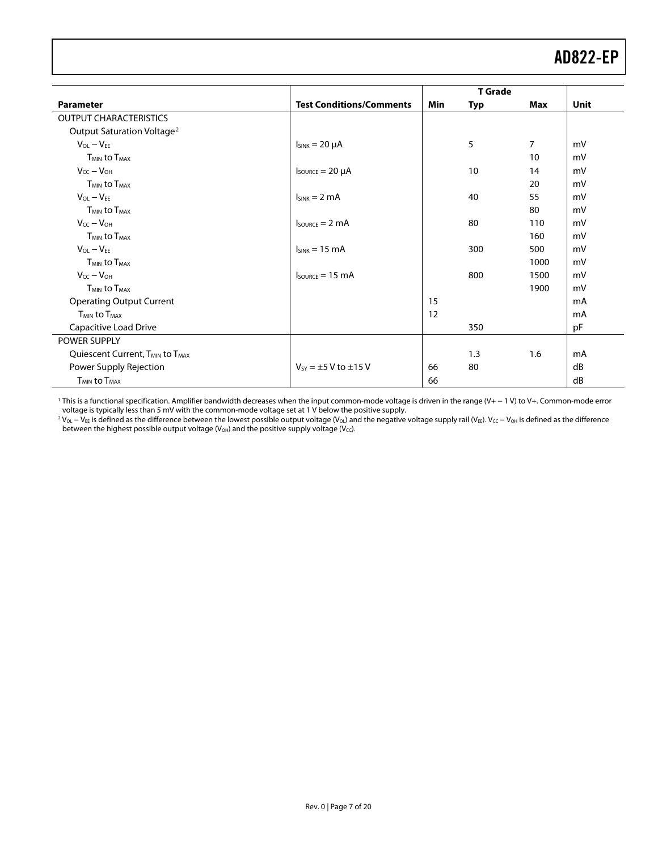<span id="page-6-0"></span>

|                                                         |                                                  | <b>T</b> Grade |            |      |      |
|---------------------------------------------------------|--------------------------------------------------|----------------|------------|------|------|
| <b>Parameter</b>                                        | <b>Test Conditions/Comments</b>                  | Min            | <b>Typ</b> | Max  | Unit |
| <b>OUTPUT CHARACTERISTICS</b>                           |                                                  |                |            |      |      |
| Output Saturation Voltage <sup>2</sup>                  |                                                  |                |            |      |      |
| $V_{OL} - V_{FE}$                                       | $I_{SINK} = 20 \mu A$                            |                | 5          | 7    | mV   |
| <b>TMIN to TMAX</b>                                     |                                                  |                |            | 10   | mV   |
| $V_{CC} - V_{OH}$                                       | $I_{\text{SOWRCE}} = 20 \mu A$                   |                | 10         | 14   | mV   |
| <b>TMIN to TMAX</b>                                     |                                                  |                |            | 20   | mV   |
| $V_{OL} - V_{FE}$                                       | $I_{SINK} = 2 mA$                                |                | 40         | 55   | mV   |
| <b>T<sub>MIN</sub></b> to T <sub>MAX</sub>              |                                                  |                |            | 80   | mV   |
| $V_{CC} - V_{OH}$                                       | $I_{\text{SOLRCE}} = 2 \text{ mA}$               |                | 80         | 110  | mV   |
| <b>T<sub>MIN</sub></b> to T <sub>MAX</sub>              |                                                  |                |            | 160  | mV   |
| $V_{OL} - V_{FF}$                                       | $I_{SINK} = 15 \text{ mA}$                       |                | 300        | 500  | mV   |
| <b>T<sub>MIN</sub></b> to T <sub>MAX</sub>              |                                                  |                |            | 1000 | mV   |
| $V_{CC} - V_{OH}$                                       | $I_{\text{SOWRCE}} = 15 \text{ mA}$              |                | 800        | 1500 | mV   |
| <b>TMIN to TMAX</b>                                     |                                                  |                |            | 1900 | mV   |
| <b>Operating Output Current</b>                         |                                                  | 15             |            |      | mA   |
| <b>TMIN to TMAX</b>                                     |                                                  | 12             |            |      | mA   |
| Capacitive Load Drive                                   |                                                  |                | 350        |      | pF   |
| POWER SUPPLY                                            |                                                  |                |            |      |      |
| Quiescent Current, T <sub>MIN</sub> to T <sub>MAX</sub> |                                                  |                | 1.3        | 1.6  | mA   |
| Power Supply Rejection                                  | $V_{SY} = \pm 5 \text{ V}$ to $\pm 15 \text{ V}$ | 66             | 80         |      | dB   |
| $T_{MIN}$ to $T_{MAX}$                                  |                                                  | 66             |            |      | dB   |

1 This is a functional specification. Amplifier bandwidth decreases when the input common-mode voltage is driven in the range (V+ − 1 V) to V+. Common-mode error voltage is typically less than 5 mV with the common-mode voltage set at 1 V below the positive supply.

<sup>2</sup> V<sub>OL</sub> – V<sub>EE</sub> is defined as the difference between the lowest possible output voltage (V<sub>OL</sub>) and the negative voltage supply rail (V<sub>EE</sub>). V<sub>CC</sub> – V<sub>OH</sub> is defined as the difference between the highest possible output voltage (V<sub>OH</sub>) and the positive supply voltage (V<sub>CC</sub>).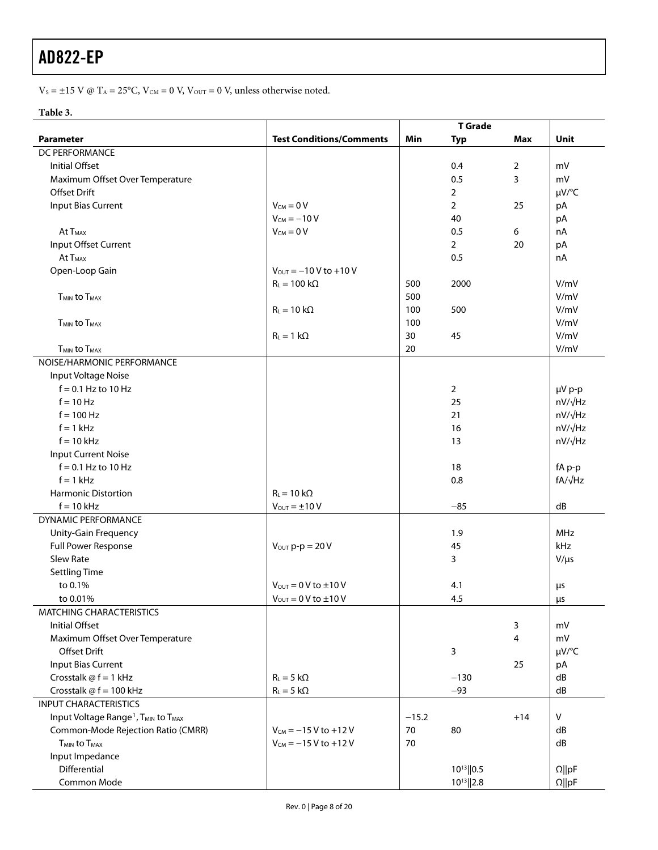$\rm V_S = \pm 15$  V @  $\rm T_A = 25^oC,$   $\rm V_{\rm CM} = 0$  V,  $\rm V_{\rm OUT} = 0$  V, unless otherwise noted.

#### **Table 3.**

|                                                                         |                                      | <b>T</b> Grade |                 |       |                |  |  |
|-------------------------------------------------------------------------|--------------------------------------|----------------|-----------------|-------|----------------|--|--|
| <b>Parameter</b>                                                        | <b>Test Conditions/Comments</b>      | Min            | <b>Typ</b>      | Max   | Unit           |  |  |
| DC PERFORMANCE                                                          |                                      |                |                 |       |                |  |  |
| <b>Initial Offset</b>                                                   |                                      |                | 0.4             | 2     | mV             |  |  |
| Maximum Offset Over Temperature                                         |                                      |                | 0.5             | 3     | mV             |  |  |
| Offset Drift                                                            |                                      |                | $\overline{2}$  |       | µV/°C          |  |  |
| Input Bias Current                                                      | $V_{CM} = 0 V$                       |                | $\overline{2}$  | 25    | pA             |  |  |
|                                                                         | $V_{CM} = -10 V$                     |                | 40              |       | pA             |  |  |
| At T <sub>MAX</sub>                                                     | $V_{CM} = 0 V$                       |                | 0.5             | 6     | nA             |  |  |
| Input Offset Current                                                    |                                      |                | $\overline{2}$  | 20    | pA             |  |  |
| At T <sub>MAX</sub>                                                     |                                      |                | 0.5             |       | nA             |  |  |
| Open-Loop Gain                                                          | $V_{\text{OUT}} = -10 V$ to +10 V    |                |                 |       |                |  |  |
|                                                                         | $R_L = 100 k\Omega$                  | 500            | 2000            |       | V/mV           |  |  |
| <b>T<sub>MIN</sub></b> to T <sub>MAX</sub>                              |                                      | 500            |                 |       | V/mV           |  |  |
|                                                                         | $R_L = 10 k\Omega$                   | 100            | 500             |       | V/mV           |  |  |
| <b>TMIN to TMAX</b>                                                     |                                      | 100            |                 |       | V/mV           |  |  |
|                                                                         | $R_L = 1 k\Omega$                    | 30             | 45              |       | V/mV           |  |  |
| <b>TMIN to TMAX</b>                                                     |                                      | 20             |                 |       | V/mV           |  |  |
| NOISE/HARMONIC PERFORMANCE                                              |                                      |                |                 |       |                |  |  |
| Input Voltage Noise                                                     |                                      |                |                 |       |                |  |  |
| $f = 0.1$ Hz to 10 Hz                                                   |                                      |                | $\overline{2}$  |       | µV p-p         |  |  |
| $f = 10$ Hz                                                             |                                      |                | 25              |       | nV/√Hz         |  |  |
| $f = 100$ Hz                                                            |                                      |                | 21              |       | nV/√Hz         |  |  |
| $f = 1$ kHz                                                             |                                      |                | 16              |       | $nV/\sqrt{Hz}$ |  |  |
| $f = 10$ kHz                                                            |                                      |                | 13              |       | nV/√Hz         |  |  |
| <b>Input Current Noise</b>                                              |                                      |                |                 |       |                |  |  |
| $f = 0.1$ Hz to 10 Hz                                                   |                                      |                | 18              |       | fA p-p         |  |  |
| $f = 1$ kHz                                                             |                                      |                | 0.8             |       | fA/√Hz         |  |  |
| <b>Harmonic Distortion</b>                                              | $R_L$ = 10 k $\Omega$                |                |                 |       |                |  |  |
| $f = 10$ kHz                                                            | $V_{\text{OUT}} = \pm 10 V$          |                | $-85$           |       | dB             |  |  |
| DYNAMIC PERFORMANCE                                                     |                                      |                |                 |       |                |  |  |
| Unity-Gain Frequency                                                    |                                      |                | 1.9             |       | MHz            |  |  |
| Full Power Response                                                     | $V_{\text{OUT}} p-p = 20 V$          |                | 45              |       | kHz            |  |  |
| Slew Rate                                                               |                                      |                | 3               |       | $V/\mu s$      |  |  |
| <b>Settling Time</b>                                                    |                                      |                |                 |       |                |  |  |
| to 0.1%                                                                 | $V_{\text{OUT}} = 0 V$ to $\pm 10 V$ |                | 4.1             |       | μs             |  |  |
| to 0.01%                                                                | $V_{\text{OUT}} = 0 V$ to $\pm 10 V$ |                | 4.5             |       | μs             |  |  |
| MATCHING CHARACTERISTICS                                                |                                      |                |                 |       |                |  |  |
| <b>Initial Offset</b>                                                   |                                      |                |                 | 3     | mV             |  |  |
| Maximum Offset Over Temperature                                         |                                      |                |                 | 4     | mV             |  |  |
| <b>Offset Drift</b>                                                     |                                      |                | 3               |       | µV/°C          |  |  |
| <b>Input Bias Current</b>                                               |                                      |                |                 | 25    | pA             |  |  |
| Crosstalk $@f = 1$ kHz                                                  | $R_L = 5 k\Omega$                    |                | $-130$          |       | dB             |  |  |
| Crosstalk @ f = 100 kHz                                                 | $R_L = 5 k\Omega$                    |                | $-93$           |       | dB             |  |  |
| <b>INPUT CHARACTERISTICS</b>                                            |                                      |                |                 |       |                |  |  |
| Input Voltage Range <sup>1</sup> , T <sub>MIN</sub> to T <sub>MAX</sub> |                                      | $-15.2$        |                 | $+14$ | V              |  |  |
| Common-Mode Rejection Ratio (CMRR)                                      | $V_{CM} = -15 V$ to $+12 V$          | 70             | 80              |       | dB             |  |  |
| <b>TMIN to TMAX</b>                                                     | $V_{CM} = -15 V$ to +12 V            | 70             |                 |       | dB             |  |  |
| Input Impedance                                                         |                                      |                |                 |       |                |  |  |
| Differential                                                            |                                      |                | $10^{13}$   0.5 |       | $\Omega$   pF  |  |  |
| Common Mode                                                             |                                      |                | $10^{13}$  2.8  |       | $\Omega$   pF  |  |  |
|                                                                         |                                      |                |                 |       |                |  |  |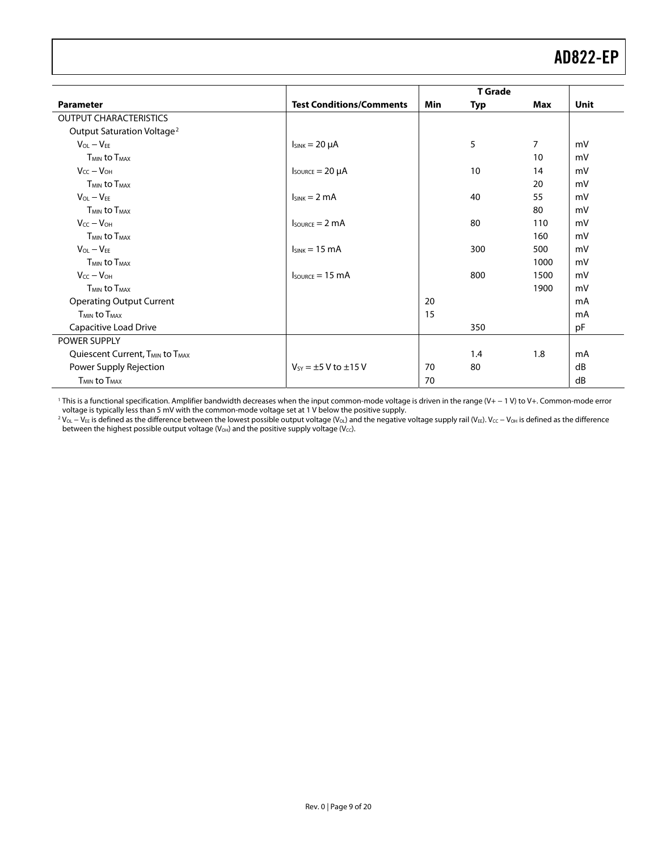<span id="page-8-0"></span>

|                                                         | <b>T</b> Grade                      |            |     |      |      |
|---------------------------------------------------------|-------------------------------------|------------|-----|------|------|
| <b>Parameter</b>                                        | <b>Test Conditions/Comments</b>     | <b>Min</b> | Typ | Max  | Unit |
| <b>OUTPUT CHARACTERISTICS</b>                           |                                     |            |     |      |      |
| Output Saturation Voltage <sup>2</sup>                  |                                     |            |     |      |      |
| $V_{OL} - V_{EE}$                                       | $I_{SINK} = 20 \mu A$               |            | 5   | 7    | mV   |
| <b>TMIN to TMAX</b>                                     |                                     |            |     | 10   | mV   |
| $V_{CC} - V_{OH}$                                       | $I_{\text{SOWRCE}} = 20 \mu A$      |            | 10  | 14   | mV   |
| <b>TMIN to TMAX</b>                                     |                                     |            |     | 20   | mV   |
| $V_{OL} - V_{FE}$                                       | $I_{SINK} = 2 mA$                   |            | 40  | 55   | mV   |
| <b>TMIN to TMAX</b>                                     |                                     |            |     | 80   | mV   |
| $V_{CC} - V_{OH}$                                       | $I_{\text{SOWRCE}} = 2 \text{ mA}$  |            | 80  | 110  | mV   |
| <b>T<sub>MIN</sub></b> to T <sub>MAX</sub>              |                                     |            |     | 160  | mV   |
| $V_{OL} - V_{EE}$                                       | $lsink = 15 mA$                     |            | 300 | 500  | mV   |
| <b>TMIN to TMAX</b>                                     |                                     |            |     | 1000 | mV   |
| $V_{CC} - V_{OH}$                                       | $I_{\text{SOWRCE}} = 15 \text{ mA}$ |            | 800 | 1500 | mV   |
| <b>TMIN to TMAX</b>                                     |                                     |            |     | 1900 | mV   |
| <b>Operating Output Current</b>                         |                                     | 20         |     |      | mA   |
| <b>TMIN to TMAX</b>                                     |                                     | 15         |     |      | mA   |
| Capacitive Load Drive                                   |                                     |            | 350 |      | pF   |
| POWER SUPPLY                                            |                                     |            |     |      |      |
| Quiescent Current, T <sub>MIN</sub> to T <sub>MAX</sub> |                                     |            | 1.4 | 1.8  | mA   |
| Power Supply Rejection                                  | $V_{SY} = \pm 5$ V to $\pm 15$ V    | 70         | 80  |      | dB   |
| $T_{MIN}$ to $T_{MAX}$                                  |                                     | 70         |     |      | dB   |

1 This is a functional specification. Amplifier bandwidth decreases when the input common-mode voltage is driven in the range (V+ − 1 V) to V+. Common-mode error voltage is typically less than 5 mV with the common-mode voltage set at 1 V below the positive supply.

<sup>2</sup> V<sub>OL</sub> – V<sub>EE</sub> is defined as the difference between the lowest possible output voltage (V<sub>OL</sub>) and the negative voltage supply rail (V<sub>EE</sub>). V<sub>CC</sub> – V<sub>OH</sub> is defined as the difference between the highest possible output voltage (V<sub>OH</sub>) and the positive supply voltage (V<sub>CC</sub>).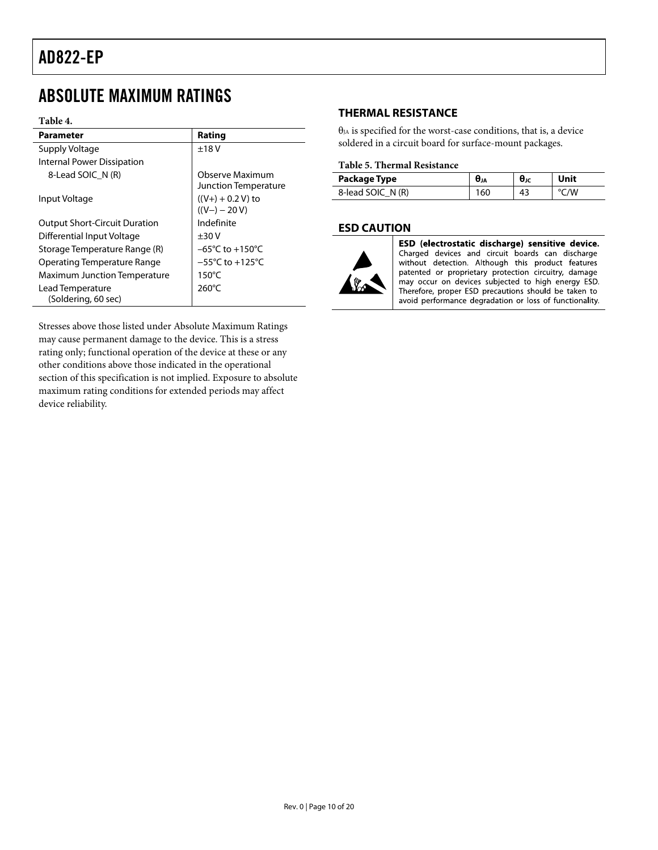### <span id="page-9-0"></span>ABSOLUTE MAXIMUM RATINGS

#### **Table 4.**

| Parameter                            | Rating                                  |
|--------------------------------------|-----------------------------------------|
| Supply Voltage                       | ±18V                                    |
| Internal Power Dissipation           |                                         |
| 8-Lead SOIC N (R)                    | Observe Maximum<br>Junction Temperature |
| Input Voltage                        | $((V+) + 0.2 V)$ to<br>$((V-)-20 V)$    |
| <b>Output Short-Circuit Duration</b> | Indefinite                              |
| <b>Differential Input Voltage</b>    | ±30V                                    |
| Storage Temperature Range (R)        | $-65^{\circ}$ C to $+150^{\circ}$ C     |
| Operating Temperature Range          | $-55^{\circ}$ C to $+125^{\circ}$ C     |
| <b>Maximum Junction Temperature</b>  | $150^{\circ}$ C                         |
| Lead Temperature                     | $260^{\circ}$ C                         |
| (Soldering, 60 sec)                  |                                         |

Stresses above those listed under Absolute Maximum Ratings may cause permanent damage to the device. This is a stress rating only; functional operation of the device at these or any other conditions above those indicated in the operational section of this specification is not implied. Exposure to absolute maximum rating conditions for extended periods may affect device reliability.

#### **THERMAL RESISTANCE**

 $\theta_{JA}$  is specified for the worst-case conditions, that is, a device soldered in a circuit board for surface-mount packages.

#### **Table 5. Thermal Resistance**

| Package Type      | UJA | UJC |  |
|-------------------|-----|-----|--|
| 8-lead SOIC N (R) | 160 | 43  |  |

#### **ESD CAUTION**



ESD (electrostatic discharge) sensitive device. Charged devices and circuit boards can discharge without detection. Although this product features patented or proprietary protection circuitry, damage may occur on devices subjected to high energy ESD. Therefore, proper ESD precautions should be taken to avoid performance degradation or loss of functionality.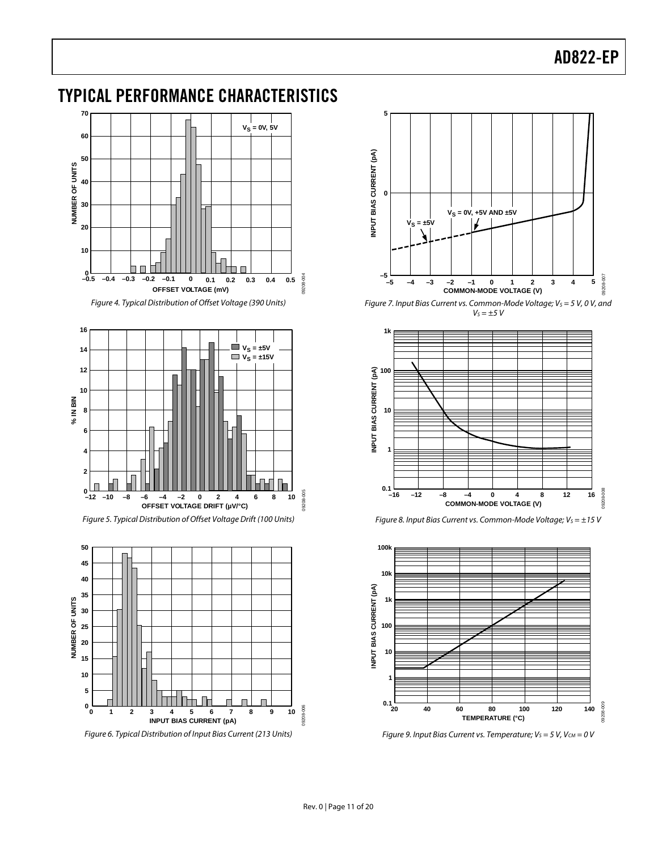### <span id="page-10-0"></span>TYPICAL PERFORMANCE CHARACTERISTICS



Figure 4. Typical Distribution of Offset Voltage (390 Units)



Figure 5. Typical Distribution of Offset Voltage Drift (100 Units)



Figure 6. Typical Distribution of Input Bias Current (213 Units)



Figure 7. Input Bias Current vs. Common-Mode Voltage;  $V_S = 5 V$ , 0 V, and  $V_S = \pm 5$  V



Figure 8. Input Bias Current vs. Common-Mode Voltage;  $V_s = \pm 15$  V



Figure 9. Input Bias Current vs. Temperature;  $V_S = 5$  V,  $V_{CM} = 0$  V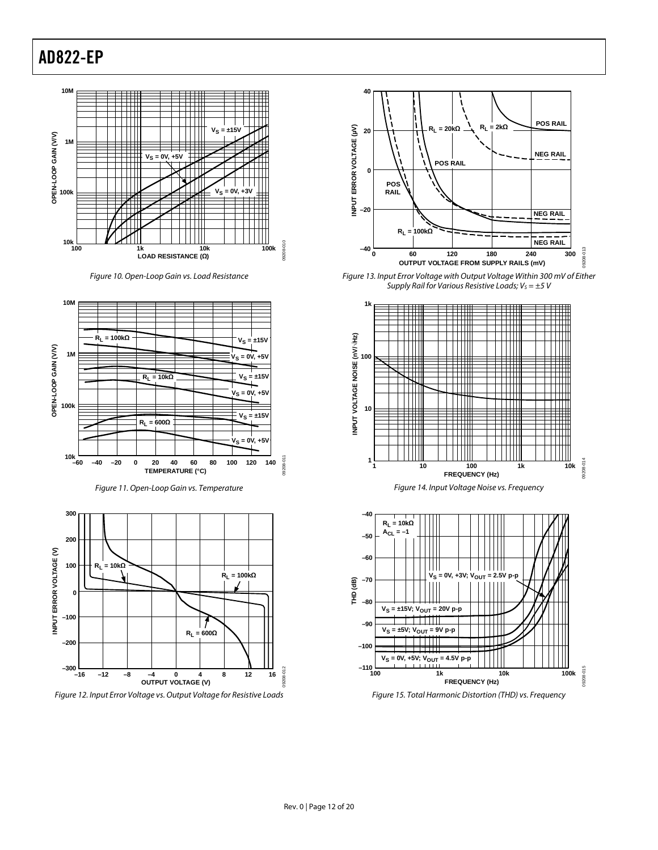

Figure 10. Open-Loop Gain vs. Load Resistance



Figure 11. Open-Loop Gain vs. Temperature



Figure 12. Input Error Voltage vs. Output Voltage for Resistive Loads



Figure 13. Input Error Voltage with Output Voltage Within 300 mV of Either Supply Rail for Various Resistive Loads;  $V_s = \pm 5$  V





Figure 15. Total Harmonic Distortion (THD) vs. Frequency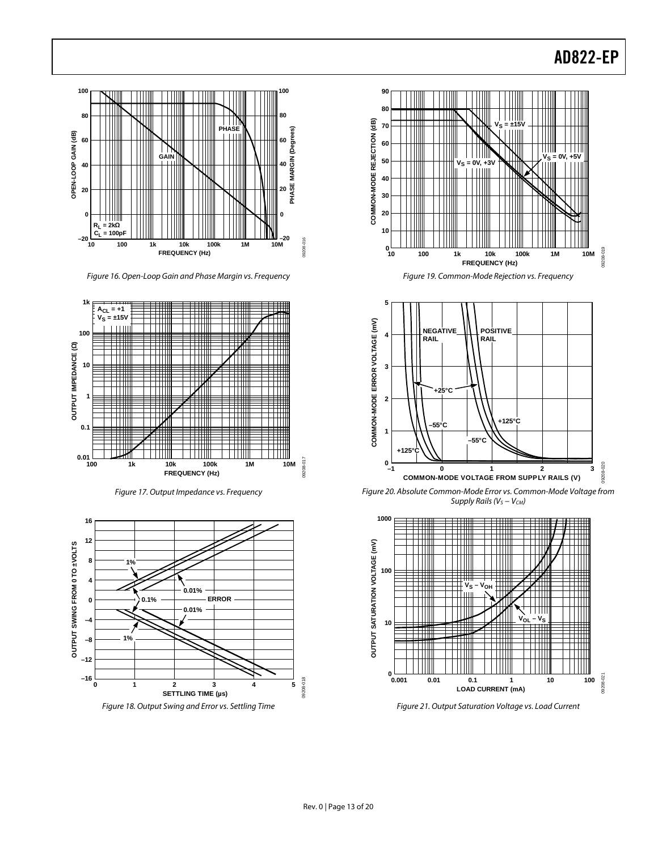

Figure 16. Open-Loop Gain and Phase Margin vs. Frequency







Figure 18. Output Swing and Error vs. Settling Time





Figure 20. Absolute Common-Mode Error vs. Common-Mode Voltage from Supply Rails (V<sub>S</sub> − V<sub>CM</sub>)



Figure 21. Output Saturation Voltage vs. Load Current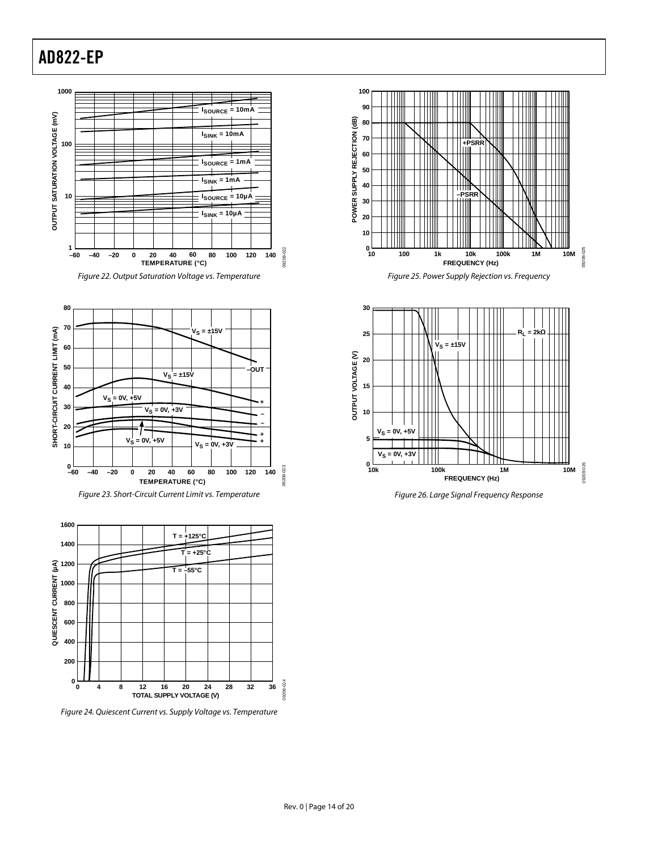







Figure 24. Quiescent Current vs. Supply Voltage vs. Temperature







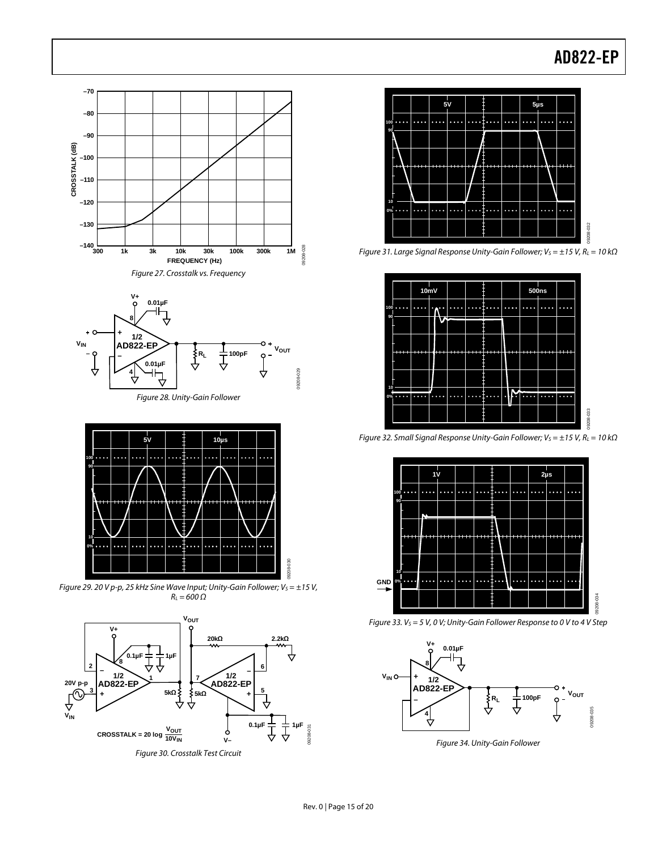







Figure 29. 20 V p-p, 25 kHz Sine Wave Input; Unity-Gain Follower;  $V_s = \pm 15$  V,  $R_L = 600 \Omega$ 





Figure 31. Large Signal Response Unity-Gain Follower; Vs =  $\pm$ 15 V, RL = 10 k $\Omega$ 



Figure 32. Small Signal Response Unity-Gain Follower;  $V_S = \pm 15$  V,  $R_L = 10$  k $\Omega$ 



Figure 33.  $V_S = 5$  V, 0 V; Unity-Gain Follower Response to 0 V to 4 V Step



Figure 34. Unity-Gain Follower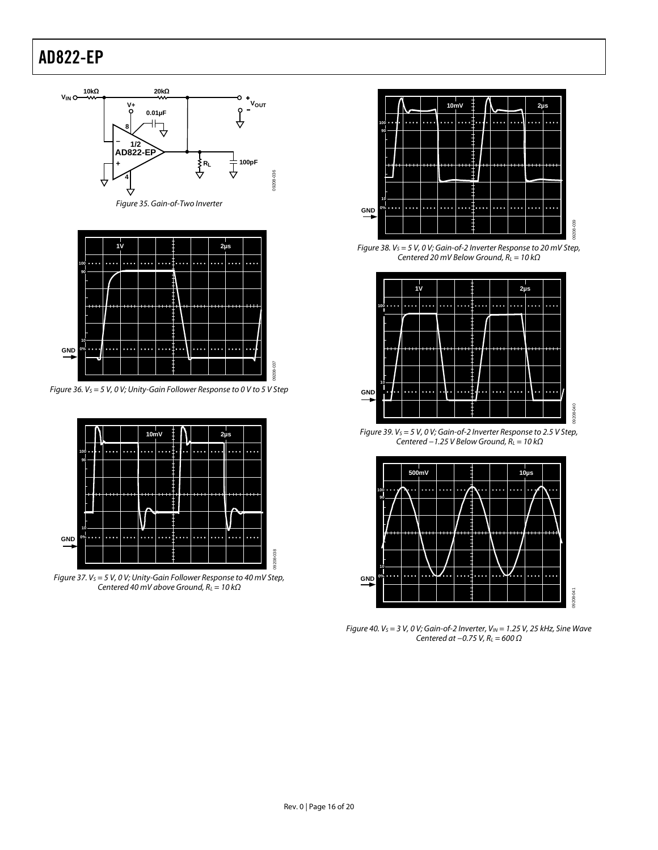

Figure 35. Gain-of-Two Inverter



Figure 36.  $V_S = 5$  V, 0 V; Unity-Gain Follower Response to 0 V to 5 V Step



Figure 37.  $V_S = 5 V$ , 0 V; Unity-Gain Follower Response to 40 mV Step, Centered 40 mV above Ground,  $R_L = 10 k\Omega$ 



Figure 38.  $V_S = 5$  V, 0 V; Gain-of-2 Inverter Response to 20 mV Step, Centered 20 mV Below Ground,  $R_L = 10 k\Omega$ 



Figure 39.  $V_S = 5 V$ , 0 V; Gain-of-2 Inverter Response to 2.5 V Step, Centered  $-1.25$  V Below Ground,  $R<sub>L</sub> = 10$  kΩ



Figure 40.  $V_S = 3 V$ , 0 V; Gain-of-2 Inverter,  $V_{IN} = 1.25 V$ , 25 kHz, Sine Wave Centered at  $-0.75$  V,  $R<sub>L</sub> = 600$   $\Omega$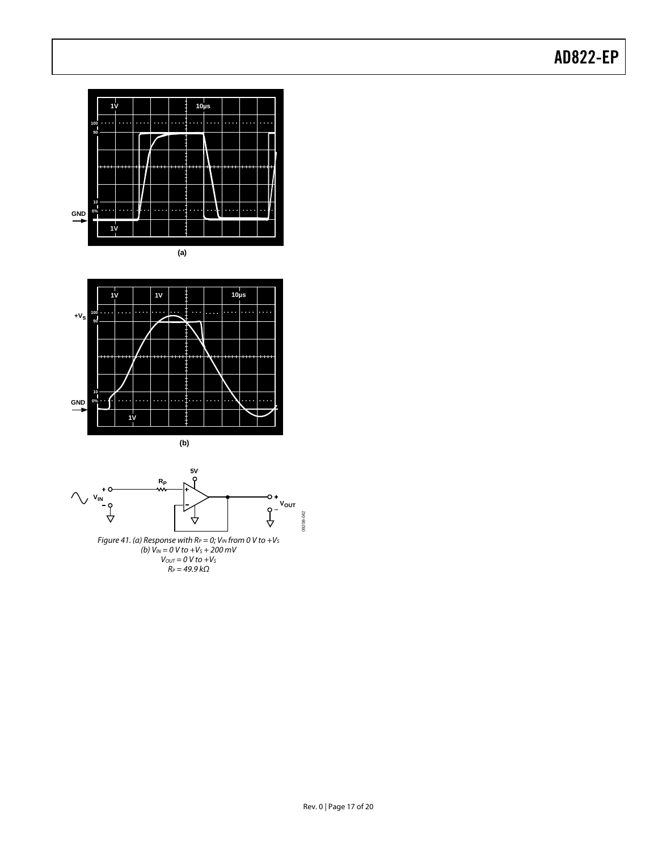







 $R_P$  = 49.9 kΩ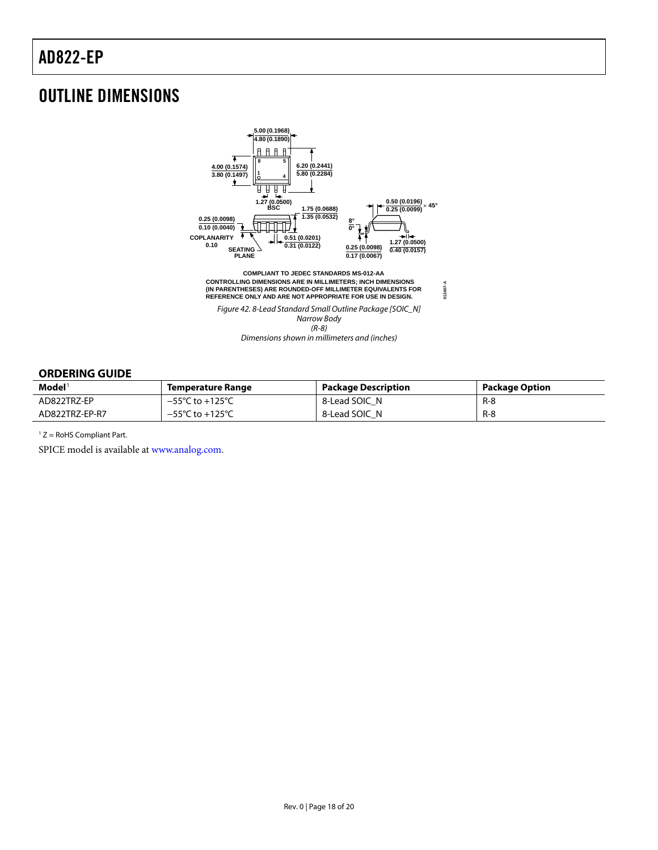### <span id="page-17-0"></span>OUTLINE DIMENSIONS



#### **ORDERING GUIDE**

| $\mathbf{Model}^1$ | Temperature Range                    | <b>Package Description</b> | <b>Package Option</b> |
|--------------------|--------------------------------------|----------------------------|-----------------------|
| AD822TRZ-EP        | $-55^{\circ}$ C to $+125^{\circ}$ C  | 8-Lead SOIC N              | $R-8$                 |
| AD822TRZ-EP-R7     | $-55^{\circ}$ C to +125 $^{\circ}$ C | 8-Lead SOIC N              | $R-8$                 |

 $1 Z =$  RoHS Compliant Part.

SPICE model is available at [www.analog.com](http://www.analog.com/).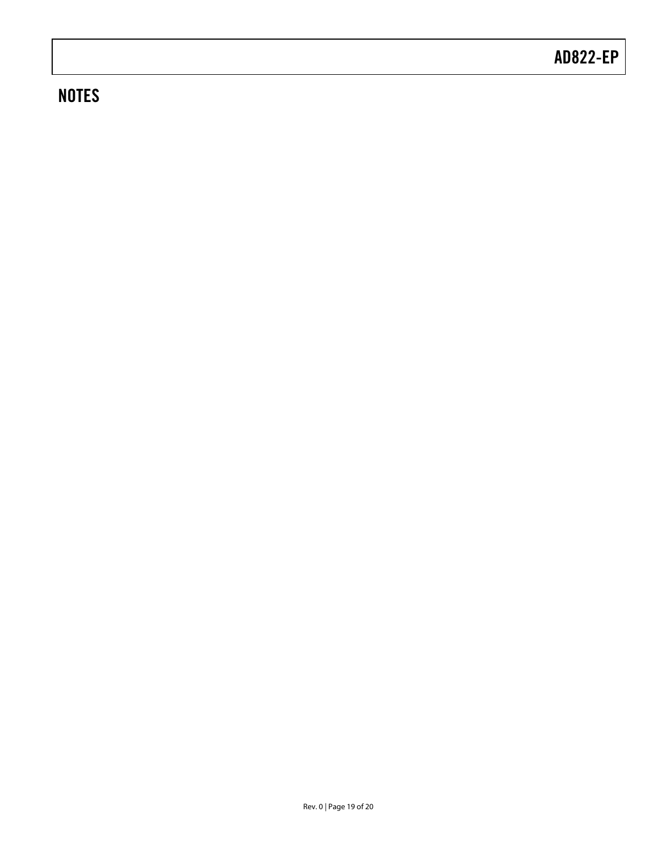## **NOTES**